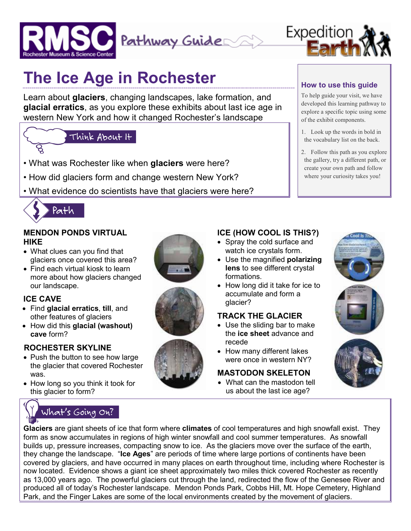



# **The Ice Age in Rochester**

Learn about **glaciers**, changing landscapes, lake formation, and **glacial erratics**, as you explore these exhibits about last ice age in western New York and how it changed Rochester's landscape

## Think About It

- What was Rochester like when **glaciers** were here?
- How did glaciers form and change western New York?
- What evidence do scientists have that glaciers were here?



#### **MENDON PONDS VIRTUAL HIKE**

- What clues can you find that glaciers once covered this area?
- Find each virtual kiosk to learn more about how glaciers changed our landscape.

#### **ICE CAVE**

- Find **glacial erratics**, **till**, and other features of glaciers
- How did this **glacial (washout) cave** form?

#### **ROCHESTER SKYLINE**

- Push the button to see how large the glacier that covered Rochester was.
- How long so you think it took for this glacier to form?









#### **How to use this guide**

To help guide your visit, we have developed this learning pathway to explore a specific topic using some of the exhibit components.

- 1. Look up the words in bold in the vocabulary list on the back.
- 2. Follow this path as you explore the gallery, try a different path, or create your own path and follow where your curiosity takes you!

#### **ICE (HOW COOL IS THIS?)**

- Spray the cold surface and watch ice crystals form.
- Use the magnified **polarizing lens** to see different crystal formations.
- How long did it take for ice to accumulate and form a glacier?

#### **TRACK THE GLACIER**

- Use the sliding bar to make the **ice sheet** advance and recede
- How many different lakes were once in western NY?

#### **MASTODON SKELETON**

• What can the mastodon tell us about the last ice age?



**Glaciers** are giant sheets of ice that form where **climates** of cool temperatures and high snowfall exist. They form as snow accumulates in regions of high winter snowfall and cool summer temperatures. As snowfall builds up, pressure increases, compacting snow to ice. As the glaciers move over the surface of the earth, they change the landscape. "**Ice Ages**" are periods of time where large portions of continents have been covered by glaciers, and have occurred in many places on earth throughout time, including where Rochester is now located. Evidence shows a giant ice sheet approximately two miles thick covered Rochester as recently as 13,000 years ago. The powerful glaciers cut through the land, redirected the flow of the Genesee River and produced all of today's Rochester landscape. Mendon Ponds Park, Cobbs Hill, Mt. Hope Cemetery, Highland Park, and the Finger Lakes are some of the local environments created by the movement of glaciers.